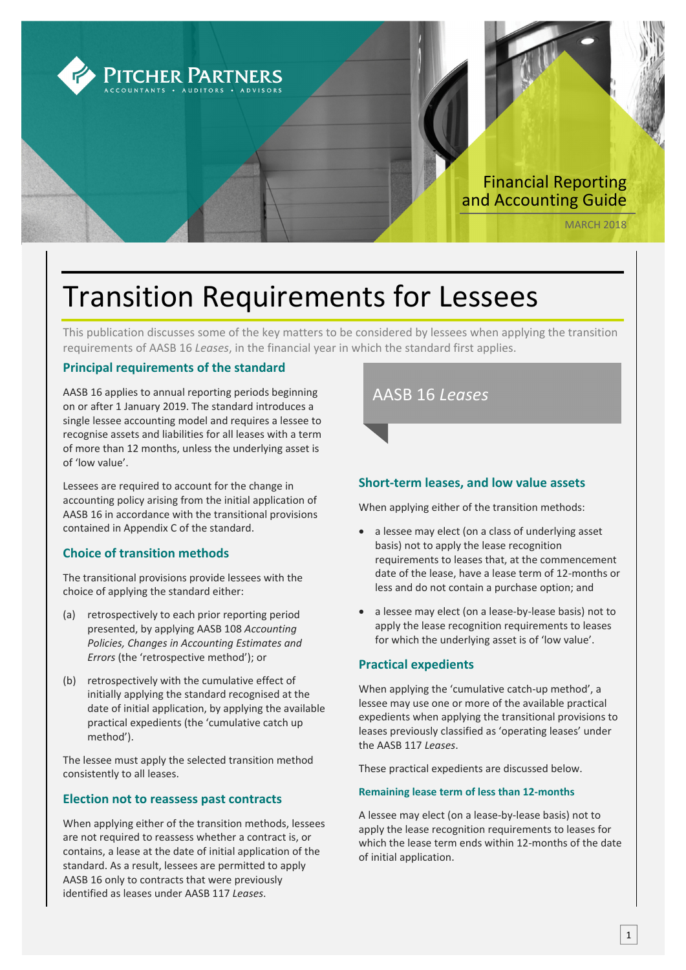

# Transition Requirements for Lessees

This publication discusses some of the key matters to be considered by lessees when applying the transition requirements of AASB 16 *Leases*, in the financial year in which the standard first applies.

## **Principal requirements of the standard**

AASB 16 applies to annual reporting periods beginning on or after 1 January 2019. The standard introduces a single lessee accounting model and requires a lessee to recognise assets and liabilities for all leases with a term of more than 12 months, unless the underlying asset is of 'low value'.

Lessees are required to account for the change in accounting policy arising from the initial application of AASB 16 in accordance with the transitional provisions contained in Appendix C of the standard.

## **Choice of transition methods**

The transitional provisions provide lessees with the choice of applying the standard either:

- (a) retrospectively to each prior reporting period presented, by applying AASB 108 *Accounting Policies, Changes in Accounting Estimates and Errors* (the 'retrospective method'); or
- (b) retrospectively with the cumulative effect of initially applying the standard recognised at the date of initial application, by applying the available practical expedients (the 'cumulative catch up method').

The lessee must apply the selected transition method consistently to all leases.

### **Election not to reassess past contracts**

When applying either of the transition methods, lessees are not required to reassess whether a contract is, or contains, a lease at the date of initial application of the standard. As a result, lessees are permitted to apply AASB 16 only to contracts that were previously identified as leases under AASB 117 *Leases*.



## **Short‐term leases, and low value assets**

When applying either of the transition methods:

- a lessee may elect (on a class of underlying asset basis) not to apply the lease recognition requirements to leases that, at the commencement date of the lease, have a lease term of 12‐months or less and do not contain a purchase option; and
- a lessee may elect (on a lease-by-lease basis) not to apply the lease recognition requirements to leases for which the underlying asset is of 'low value'.

## **Practical expedients**

When applying the 'cumulative catch-up method', a lessee may use one or more of the available practical expedients when applying the transitional provisions to leases previously classified as 'operating leases' under the AASB 117 *Leases*.

These practical expedients are discussed below.

### **Remaining lease term of less than 12‐months**

A lessee may elect (on a lease‐by‐lease basis) not to apply the lease recognition requirements to leases for which the lease term ends within 12‐months of the date of initial application.